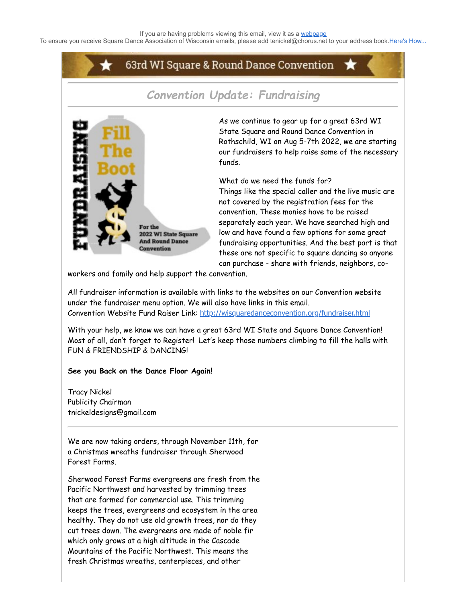To ensure you receive Square Dance Association of Wisconsin emails, please add tenickel@chorus.net to your address book.[Here's How...](https://www.radiantretailapps.com/CustomerConnect/Article.aspx/241/)

## 63rd WI Square & Round Dance Convention



*Convention Update: Fundraising*

As we continue to gear up for a great 63rd WI State Square and Round Dance Convention in Rothschild, WI on Aug 5-7th 2022, we are starting our fundraisers to help raise some of the necessary funds.

What do we need the funds for? Things like the special caller and the live music are not covered by the registration fees for the convention. These monies have to be raised separately each year. We have searched high and low and have found a few options for some great fundraising opportunities. And the best part is that these are not specific to square dancing so anyone can purchase - share with friends, neighbors, co-

workers and family and help support the convention.

All fundraiser information is available with links to the websites on our Convention website under the fundraiser menu option. We will also have links in this email. Convention Website Fund Raiser Link: <http://wisquaredanceconvention.org/fundraiser.html>

With your help, we know we can have a great 63rd WI State and Square Dance Convention! Most of all, don't forget to Register! Let's keep those numbers climbing to fill the halls with FUN & FRIENDSHIP & DANCING!

## **See you Back on the Dance Floor Again!**

Tracy Nickel Publicity Chairman tnickeldesigns@gmail.com

We are now taking orders, through November 11th, for a Christmas wreaths fundraiser through Sherwood Forest Farms.

Sherwood Forest Farms evergreens are fresh from the Pacific Northwest and harvested by trimming trees that are farmed for commercial use. This trimming keeps the trees, evergreens and ecosystem in the area healthy. They do not use old growth trees, nor do they cut trees down. The evergreens are made of noble fir which only grows at a high altitude in the Cascade Mountains of the Pacific Northwest. This means the fresh Christmas wreaths, centerpieces, and other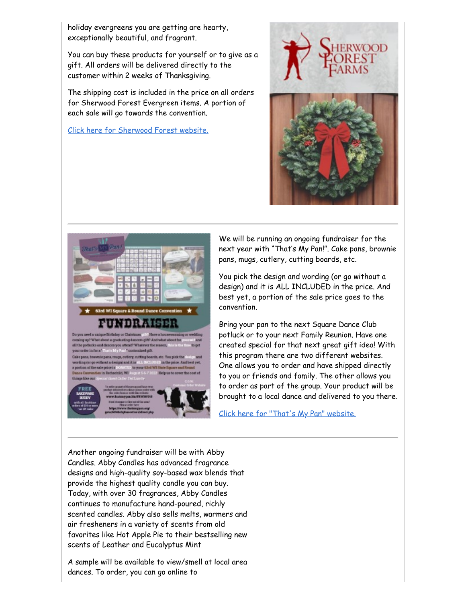holiday evergreens you are getting are hearty, exceptionally beautiful, and fragrant.

You can buy these products for yourself or to give as a gift. All orders will be delivered directly to the customer within 2 weeks of Thanksgiving.

The shipping cost is included in the price on all orders for Sherwood Forest Evergreen items. A portion of each sale will go towards the convention.

[Click here for Sherwood Forest website.](https://sherwoodfundraiser.com/WISquareDanceConvention2022)







We will be running an ongoing fundraiser for the next year with "That's My Pan!". Cake pans, brownie pans, mugs, cutlery, cutting boards, etc.

You pick the design and wording (or go without a design) and it is ALL INCLUDED in the price. And best yet, a portion of the sale price goes to the convention.

Bring your pan to the next Square Dance Club potluck or to your next Family Reunion. Have one created special for that next great gift idea! With this program there are two different websites. One allows you to order and have shipped directly to you or friends and family. The other allows you to order as part of the group. Your product will be brought to a local dance and delivered to you there.

[Click here for "That's My Pan" website.](https://www.thatsmypan.biz/FRWI69745)

Another ongoing fundraiser will be with Abby Candles. Abby Candles has advanced fragrance designs and high-quality soy-based wax blends that provide the highest quality candle you can buy. Today, with over 30 fragrances, Abby Candles continues to manufacture hand-poured, richly scented candles. Abby also sells melts, warmers and air fresheners in a variety of scents from old favorites like Hot Apple Pie to their bestselling new scents of Leather and Eucalyptus Mint

A sample will be available to view/smell at local area dances. To order, you can go online to